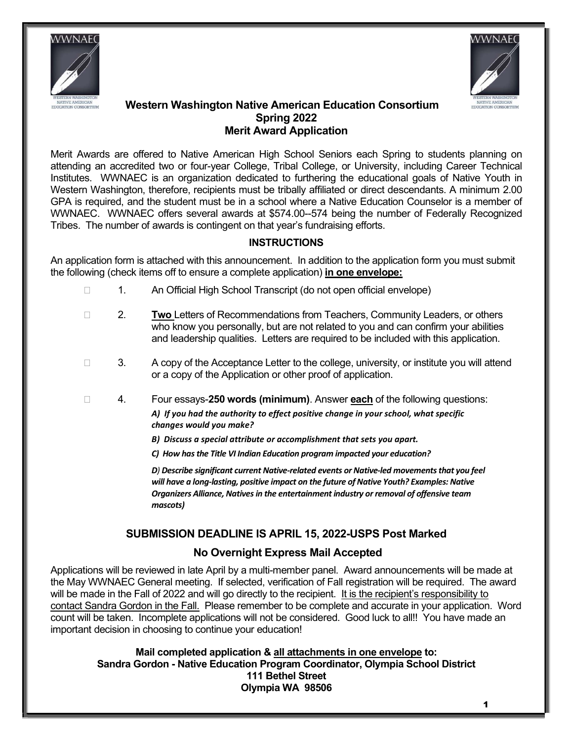



#### Western Washington Native American Education Consortium Spring 2022 Merit Award Application

Merit Awards are offered to Native American High School Seniors each Spring to students planning on attending an accredited two or four-year College, Tribal College, or University, including Career Technical Institutes. WWNAEC is an organization dedicated to furthering the educational goals of Native Youth in Western Washington, therefore, recipients must be tribally affiliated or direct descendants. A minimum 2.00 GPA is required, and the student must be in a school where a Native Education Counselor is a member of WWNAEC. WWNAEC offers several awards at \$574.00--574 being the number of Federally Recognized Tribes. The number of awards is contingent on that year's fundraising efforts.

# **INSTRUCTIONS**

An application form is attached with this announcement. In addition to the application form you must submit the following (check items off to ensure a complete application) in one envelope:

- □ 1. An Official High School Transcript (do not open official envelope)
- **2.** Two Letters of Recommendations from Teachers, Community Leaders, or others who know you personally, but are not related to you and can confirm your abilities and leadership qualities. Letters are required to be included with this application.
- $\Box$  3. A copy of the Acceptance Letter to the college, university, or institute you will attend or a copy of the Application or other proof of application.
- $\Box$  4. Four essays-250 words (minimum). Answer each of the following questions: A) If you had the authority to effect positive change in your school, what specific changes would you make?
	- B) Discuss a special attribute or accomplishment that sets you apart.
	- C) How has the Title VI Indian Education program impacted your education?

D) Describe significant current Native-related events or Native-led movements that you feel will have a long-lasting, positive impact on the future of Native Youth? Examples: Native Organizers Alliance, Natives in the entertainment industry or removal of offensive team mascots)

### SUBMISSION DEADLINE IS APRIL 15, 2022-USPS Post Marked

### No Overnight Express Mail Accepted

Applications will be reviewed in late April by a multi-member panel. Award announcements will be made at the May WWNAEC General meeting. If selected, verification of Fall registration will be required. The award will be made in the Fall of 2022 and will go directly to the recipient. It is the recipient's responsibility to contact Sandra Gordon in the Fall. Please remember to be complete and accurate in your application. Word count will be taken. Incomplete applications will not be considered. Good luck to all!! You have made an important decision in choosing to continue your education!

> Mail completed application & all attachments in one envelope to: Sandra Gordon - Native Education Program Coordinator, Olympia School District 111 Bethel Street Olympia WA 98506